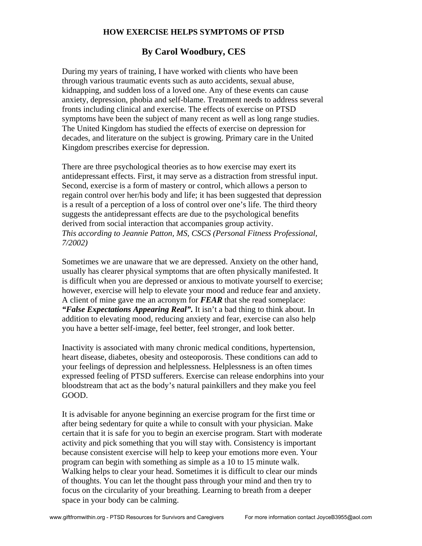## **HOW EXERCISE HELPS SYMPTOMS OF PTSD**

## **By Carol Woodbury, CES**

During my years of training, I have worked with clients who have been through various traumatic events such as auto accidents, sexual abuse, kidnapping, and sudden loss of a loved one. Any of these events can cause anxiety, depression, phobia and self-blame. Treatment needs to address several fronts including clinical and exercise. The effects of exercise on PTSD symptoms have been the subject of many recent as well as long range studies. The United Kingdom has studied the effects of exercise on depression for decades, and literature on the subject is growing. Primary care in the United Kingdom prescribes exercise for depression.

There are three psychological theories as to how exercise may exert its antidepressant effects. First, it may serve as a distraction from stressful input. Second, exercise is a form of mastery or control, which allows a person to regain control over her/his body and life; it has been suggested that depression is a result of a perception of a loss of control over one's life. The third theory suggests the antidepressant effects are due to the psychological benefits derived from social interaction that accompanies group activity. *This according to Jeannie Patton, MS, CSCS (Personal Fitness Professional, 7/2002)*

Sometimes we are unaware that we are depressed. Anxiety on the other hand, usually has clearer physical symptoms that are often physically manifested. It is difficult when you are depressed or anxious to motivate yourself to exercise; however, exercise will help to elevate your mood and reduce fear and anxiety. A client of mine gave me an acronym for *FEAR* that she read someplace: *"False Expectations Appearing Real".* It isn't a bad thing to think about. In addition to elevating mood, reducing anxiety and fear, exercise can also help you have a better self-image, feel better, feel stronger, and look better.

Inactivity is associated with many chronic medical conditions, hypertension, heart disease, diabetes, obesity and osteoporosis. These conditions can add to your feelings of depression and helplessness. Helplessness is an often times expressed feeling of PTSD sufferers. Exercise can release endorphins into your bloodstream that act as the body's natural painkillers and they make you feel GOOD.

It is advisable for anyone beginning an exercise program for the first time or after being sedentary for quite a while to consult with your physician. Make certain that it is safe for you to begin an exercise program. Start with moderate activity and pick something that you will stay with. Consistency is important because consistent exercise will help to keep your emotions more even. Your program can begin with something as simple as a 10 to 15 minute walk. Walking helps to clear your head. Sometimes it is difficult to clear our minds of thoughts. You can let the thought pass through your mind and then try to focus on the circularity of your breathing. Learning to breath from a deeper space in your body can be calming.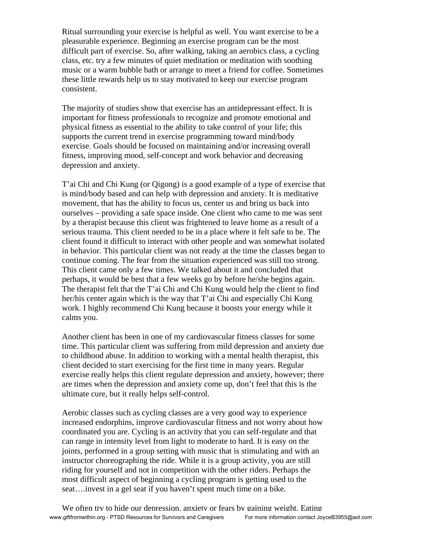Ritual surrounding your exercise is helpful as well. You want exercise to be a pleasurable experience. Beginning an exercise program can be the most difficult part of exercise. So, after walking, taking an aerobics class, a cycling class, etc. try a few minutes of quiet meditation or meditation with soothing music or a warm bubble bath or arrange to meet a friend for coffee. Sometimes these little rewards help us to stay motivated to keep our exercise program consistent.

The majority of studies show that exercise has an antidepressant effect. It is important for fitness professionals to recognize and promote emotional and physical fitness as essential to the ability to take control of your life; this supports the current trend in exercise programming toward mind/body exercise. Goals should be focused on maintaining and/or increasing overall fitness, improving mood, self-concept and work behavior and decreasing depression and anxiety.

T'ai Chi and Chi Kung (or Qigong) is a good example of a type of exercise that is mind/body based and can help with depression and anxiety. It is meditative movement, that has the ability to focus us, center us and bring us back into ourselves – providing a safe space inside. One client who came to me was sent by a therapist because this client was frightened to leave home as a result of a serious trauma. This client needed to be in a place where it felt safe to be. The client found it difficult to interact with other people and was somewhat isolated in behavior. This particular client was not ready at the time the classes began to continue coming. The fear from the situation experienced was still too strong. This client came only a few times. We talked about it and concluded that perhaps, it would be best that a few weeks go by before he/she begins again. The therapist felt that the T'ai Chi and Chi Kung would help the client to find her/his center again which is the way that T'ai Chi and especially Chi Kung work. I highly recommend Chi Kung because it boosts your energy while it calms you.

Another client has been in one of my cardiovascular fitness classes for some time. This particular client was suffering from mild depression and anxiety due to childhood abuse. In addition to working with a mental health therapist, this client decided to start exercising for the first time in many years. Regular exercise really helps this client regulate depression and anxiety, however; there are times when the depression and anxiety come up, don't feel that this is the ultimate cure, but it really helps self-control.

Aerobic classes such as cycling classes are a very good way to experience increased endorphins, improve cardiovascular fitness and not worry about how coordinated you are. Cycling is an activity that you can self-regulate and that can range in intensity level from light to moderate to hard. It is easy on the joints, performed in a group setting with music that is stimulating and with an instructor choreographing the ride. While it is a group activity, you are still riding for yourself and not in competition with the other riders. Perhaps the most difficult aspect of beginning a cycling program is getting used to the seat….invest in a gel seat if you haven't spent much time on a bike.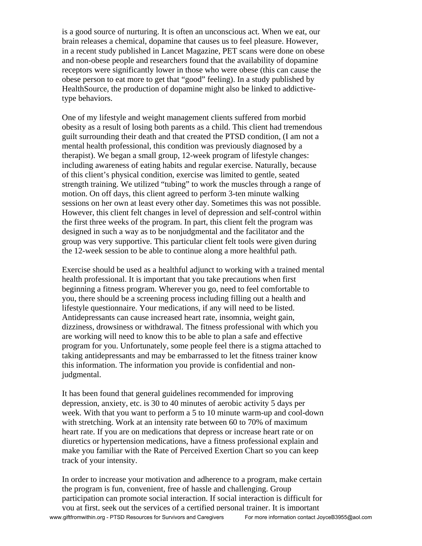is a good source of nurturing. It is often an unconscious act. When we eat, our brain releases a chemical, dopamine that causes us to feel pleasure. However, in a recent study published in Lancet Magazine, PET scans were done on obese and non-obese people and researchers found that the availability of dopamine receptors were significantly lower in those who were obese (this can cause the obese person to eat more to get that "good" feeling). In a study published by HealthSource, the production of dopamine might also be linked to addictivetype behaviors.

One of my lifestyle and weight management clients suffered from morbid obesity as a result of losing both parents as a child. This client had tremendous guilt surrounding their death and that created the PTSD condition, (I am not a mental health professional, this condition was previously diagnosed by a therapist). We began a small group, 12-week program of lifestyle changes: including awareness of eating habits and regular exercise. Naturally, because of this client's physical condition, exercise was limited to gentle, seated strength training. We utilized "tubing" to work the muscles through a range of motion. On off days, this client agreed to perform 3-ten minute walking sessions on her own at least every other day. Sometimes this was not possible. However, this client felt changes in level of depression and self-control within the first three weeks of the program. In part, this client felt the program was designed in such a way as to be nonjudgmental and the facilitator and the group was very supportive. This particular client felt tools were given during the 12-week session to be able to continue along a more healthful path.

Exercise should be used as a healthful adjunct to working with a trained mental health professional. It is important that you take precautions when first beginning a fitness program. Wherever you go, need to feel comfortable to you, there should be a screening process including filling out a health and lifestyle questionnaire. Your medications, if any will need to be listed. Antidepressants can cause increased heart rate, insomnia, weight gain, dizziness, drowsiness or withdrawal. The fitness professional with which you are working will need to know this to be able to plan a safe and effective program for you. Unfortunately, some people feel there is a stigma attached to taking antidepressants and may be embarrassed to let the fitness trainer know this information. The information you provide is confidential and nonjudgmental.

It has been found that general guidelines recommended for improving depression, anxiety, etc. is 30 to 40 minutes of aerobic activity 5 days per week. With that you want to perform a 5 to 10 minute warm-up and cool-down with stretching. Work at an intensity rate between 60 to 70% of maximum heart rate. If you are on medications that depress or increase heart rate or on diuretics or hypertension medications, have a fitness professional explain and make you familiar with the Rate of Perceived Exertion Chart so you can keep track of your intensity.

In order to increase your motivation and adherence to a program, make certain the program is fun, convenient, free of hassle and challenging. Group participation can promote social interaction. If social interaction is difficult for you at first, seek out the services of a certified personal trainer. It is important www.giftfromwithin.org - PTSD Resources for Survivors and Caregivers For more information contact JoyceB3955@aol.com